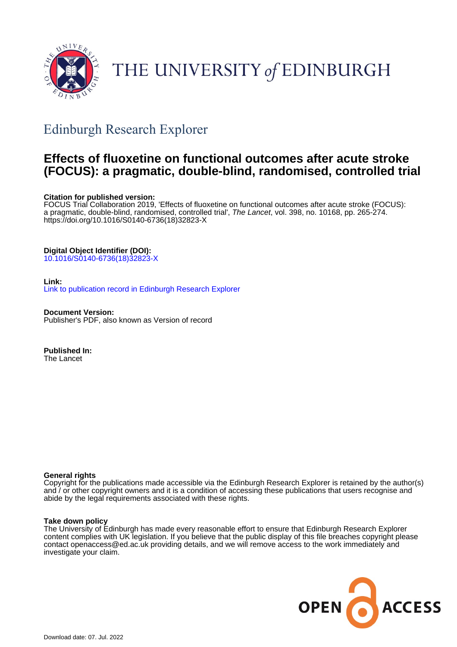

# THE UNIVERSITY of EDINBURGH

## Edinburgh Research Explorer

## **Effects of fluoxetine on functional outcomes after acute stroke (FOCUS): a pragmatic, double-blind, randomised, controlled trial**

## **Citation for published version:**

FOCUS Trial Collaboration 2019, 'Effects of fluoxetine on functional outcomes after acute stroke (FOCUS): a pragmatic, double-blind, randomised, controlled trial', The Lancet, vol. 398, no. 10168, pp. 265-274. [https://doi.org/10.1016/S0140-6736\(18\)32823-X](https://doi.org/10.1016/S0140-6736(18)32823-X)

## **Digital Object Identifier (DOI):**

[10.1016/S0140-6736\(18\)32823-X](https://doi.org/10.1016/S0140-6736(18)32823-X)

### **Link:**

[Link to publication record in Edinburgh Research Explorer](https://www.research.ed.ac.uk/en/publications/2f692586-88f2-4cc9-bd6b-aebedfbdb219)

**Document Version:** Publisher's PDF, also known as Version of record

**Published In:** The Lancet

### **General rights**

Copyright for the publications made accessible via the Edinburgh Research Explorer is retained by the author(s) and / or other copyright owners and it is a condition of accessing these publications that users recognise and abide by the legal requirements associated with these rights.

### **Take down policy**

The University of Edinburgh has made every reasonable effort to ensure that Edinburgh Research Explorer content complies with UK legislation. If you believe that the public display of this file breaches copyright please contact openaccess@ed.ac.uk providing details, and we will remove access to the work immediately and investigate your claim.

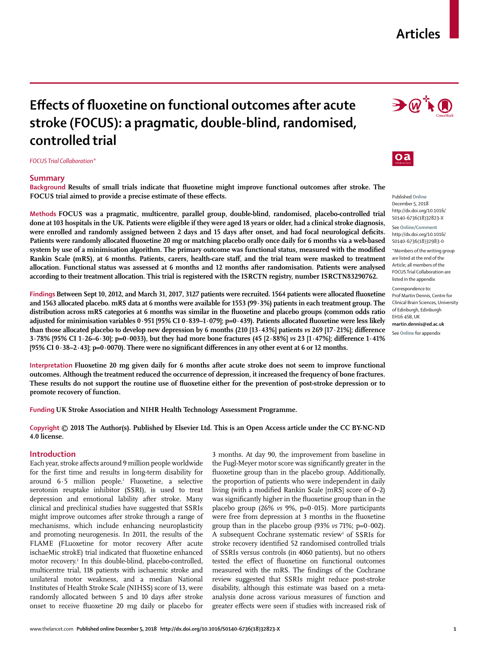## **Articles**

## **Effects of fluoxetine on functional outcomes after acute stroke (FOCUS): a pragmatic, double-blind, randomised, controlled trial**

*FOCUS Trial Collaboration\**

#### **Summary**

**Background Results of small trials indicate that fluoxetine might improve functional outcomes after stroke. The FOCUS trial aimed to provide a precise estimate of these effects.**

**Methods FOCUS was a pragmatic, multicentre, parallel group, double-blind, randomised, placebo-controlled trial done at 103 hospitals in the UK. Patients were eligible if they were aged 18 years or older, had a clinical stroke diagnosis, were enrolled and randomly assigned between 2 days and 15 days after onset, and had focal neurological deficits. Patients were randomly allocated fluoxetine 20 mg or matching placebo orally once daily for 6 months via a web-based system by use of a minimisation algorithm. The primary outcome was functional status, measured with the modified Rankin Scale (mRS), at 6 months. Patients, carers, health-care staff, and the trial team were masked to treatment allocation. Functional status was assessed at 6 months and 12 months after randomisation. Patients were analysed according to their treatment allocation. This trial is registered with the ISRCTN registry, number ISRCTN83290762.**

**Findings Between Sept 10, 2012, and March 31, 2017, 3127 patients were recruited. 1564 patients were allocated fluoxetine and 1563 allocated placebo. mRS data at 6 months were available for 1553 (99∙3%) patients in each treatment group. The distribution across mRS categories at 6 months was similar in the fluoxetine and placebo groups (common odds ratio adjusted for minimisation variables 0∙951 [95% CI 0∙839–1∙079]; p=0∙439). Patients allocated fluoxetine were less likely than those allocated placebo to develop new depression by 6 months (210 [13∙43%] patients** *vs* **269 [17·21%]; difference 3∙78% [95% CI 1∙26–6∙30]; p=0∙0033), but they had more bone fractures (45 [2∙88%]** *vs* **23 [1∙47%]; difference 1∙41% [95% CI 0∙38–2∙43]; p=0∙0070). There were no significant differences in any other event at 6 or 12 months.**

**Interpretation Fluoxetine 20 mg given daily for 6 months after acute stroke does not seem to improve functional outcomes. Although the treatment reduced the occurrence of depression, it increased the frequency of bone fractures. These results do not support the routine use of fluoxetine either for the prevention of post-stroke depression or to promote recovery of function.**

**Funding UK Stroke Association and NIHR Health Technology Assessment Programme.**

**Copyright** *©* **2018 The Author(s). Published by Elsevier Ltd. This is an Open Access article under the CC BY-NC-ND 4.0 license.**

#### **Introduction**

Each year, stroke affects around 9 million people worldwide for the first time and results in long-term disability for  $around 6.5 million people.<sup>1</sup> Fluoxetime, a selective$ serotonin reuptake inhibitor (SSRI), is used to treat depression and emotional lability after stroke. Many clinical and preclinical studies have suggested that SSRIs might improve outcomes after stroke through a range of mechanisms, which include enhancing neuroplasticity and promoting neurogenesis. In 2011, the results of the FLAME (FLuoxetine for motor recovery After acute ischaeMic strokE) trial indicated that fluoxetine enhanced motor recovery.2 In this double-blind, placebo-controlled, multicentre trial, 118 patients with ischaemic stroke and unilateral motor weakness, and a median National Institutes of Health Stroke Scale (NIHSS) score of 13, were randomly allocated between 5 and 10 days after stroke onset to receive fluoxetine 20 mg daily or placebo for

3 months. At day 90, the improvement from baseline in the Fugl-Meyer motor score was significantly greater in the fluoxetine group than in the placebo group. Additionally, the proportion of patients who were independent in daily living (with a modified Rankin Scale [mRS] score of 0–2) was significantly higher in the fluoxetine group than in the placebo group (26% *vs* 9%, p=0·015). More participants were free from depression at 3 months in the fluoxetine group than in the placebo group (93% *vs* 71%; p=0·002). A subsequent Cochrane systematic review<sup>3</sup> of SSRIs for stroke recovery identified 52 randomised controlled trials of SSRIs versus controls (in 4060 patients), but no others tested the effect of fluoxetine on functional outcomes measured with the mRS. The findings of the Cochrane review suggested that SSRIs might reduce post-stroke disability, although this estimate was based on a metaanalysis done across various measures of function and greater effects were seen if studies with increased risk of





Published **Online** December 5, 2018 http://dx.doi.org/10.1016/ S0140-6736(18)32823-X

See **Online/Comment** http://dx.doi.org/10.1016/ S0140-6736(18)32983-0

\*Members of the writing group are listed at the end of the Article; all members of the FOCUS Trial Collaboration are listed in the appendix

Correspondence to: Prof Martin Dennis, Centre for Clinical Brain Sciences, University

of Edinburgh, Edinburgh EH16 4SB, UK **martin.dennis@ed.ac.uk**

See **Online** for appendix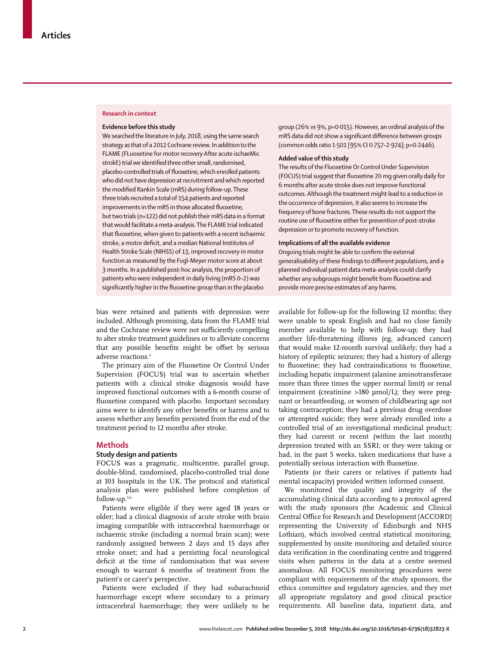#### **Research in context**

#### **Evidence before this study**

We searched the literature in July, 2018, using the same search strategy as that of a 2012 Cochrane review. In addition to the FLAME (FLuoxetine for motor recovery After acute ischaeMic strokE) trial we identified three other small, randomised, placebo-controlled trials of fluoxetine, which enrolled patients who did not have depression at recruitment and which reported the modified Rankin Scale (mRS) during follow-up. These three trials recruited a total of 154 patients and reported improvements in the mRS in those allocated fluoxetine, but two trials (n=122) did not publish their mRS data in a format that would facilitate a meta-analysis. The FLAME trial indicated that fluoxetine, when given to patients with a recent ischaemic stroke, a motor deficit, and a median National Institutes of Health Stroke Scale (NIHSS) of 13, improved recovery in motor function as measured by the Fugl-Meyer motor score at about 3 months. In a published post-hoc analysis, the proportion of patients who were independent in daily living (mRS 0–2) was significantly higher in the fluoxetine group than in the placebo

bias were retained and patients with depression were included. Although promising, data from the FLAME trial and the Cochrane review were not sufficiently compelling to alter stroke treatment guidelines or to alleviate concerns that any possible benefits might be offset by serious adverse reactions.<sup>4</sup>

The primary aim of the Fluoxetine Or Control Under Supervision (FOCUS) trial was to ascertain whether patients with a clinical stroke diagnosis would have improved functional outcomes with a 6-month course of fluoxetine compared with placebo. Important secondary aims were to identify any other benefits or harms and to assess whether any benefits persisted from the end of the treatment period to 12 months after stroke.

#### **Methods**

#### **Study design and patients**

FOCUS was a pragmatic, multicentre, parallel group, double-blind, randomised, placebo-controlled trial done at 103 hospitals in the UK. The protocol and statistical analysis plan were published before completion of follow-up.5,6

Patients were eligible if they were aged 18 years or older; had a clinical diagnosis of acute stroke with brain imaging compatible with intracerebral haemorrhage or ischaemic stroke (including a normal brain scan); were randomly assigned between 2 days and 15 days after stroke onset; and had a persisting focal neurological deficit at the time of randomisation that was severe enough to warrant 6 months of treatment from the patient's or carer's perspective.

Patients were excluded if they had subarachnoid haemorrhage except where secondary to a primary intracerebral haemorrhage; they were unlikely to be group (26% *vs* 9%, p=0∙015). However, an ordinal analysis of the mRS data did not show a significant difference between groups (common odds ratio 1∙501 [95% CI 0∙757–2·974]; p=0∙2446).

#### **Added value of this study**

The results of the Fluoxetine Or Control Under Supervision (FOCUS) trial suggest that fluoxetine 20 mg given orally daily for 6 months after acute stroke does not improve functional outcomes. Although the treatment might lead to a reduction in the occurrence of depression, it also seems to increase the frequency of bone fractures. These results do not support the routine use of fluoxetine either for prevention of post-stroke depression or to promote recovery of function.

#### **Implications of all the available evidence**

Ongoing trials might be able to confirm the external generalisability of these findings to different populations, and a planned individual patient data meta-analysis could clarify whether any subgroups might benefit from fluoxetine and provide more precise estimates of any harms.

available for follow-up for the following 12 months; they were unable to speak English and had no close family member available to help with follow-up; they had another life-threatening illness (eg, advanced cancer) that would make 12-month survival unlikely; they had a history of epileptic seizures; they had a history of allergy to fluoxetine; they had contraindications to fluoxetine, including hepatic impairment (alanine aminotransferase more than three times the upper normal limit) or renal impairment (creatinine >180 µmol/L); they were pregnant or breastfeeding, or women of childbearing age not taking contraception; they had a previous drug overdose or attempted suicide; they were already enrolled into a controlled trial of an investigational medicinal product; they had current or recent (within the last month) depression treated with an SSRI; or they were taking or had, in the past 5 weeks, taken medications that have a potentially serious interaction with fluoxetine.

Patients (or their carers or relatives if patients had mental incapacity) provided written informed consent.

We monitored the quality and integrity of the accumulating clinical data according to a protocol agreed with the study sponsors (the Academic and Clinical Central Office for Research and Development [ACCORD] representing the University of Edinburgh and NHS Lothian), which involved central statistical monitoring, supplemented by onsite monitoring and detailed source data verification in the coordinating centre and triggered visits when patterns in the data at a centre seemed anomalous. All FOCUS monitoring procedures were compliant with requirements of the study sponsors, the ethics committee and regulatory agencies, and they met all appropriate regulatory and good clinical practice requirements. All baseline data, inpatient data, and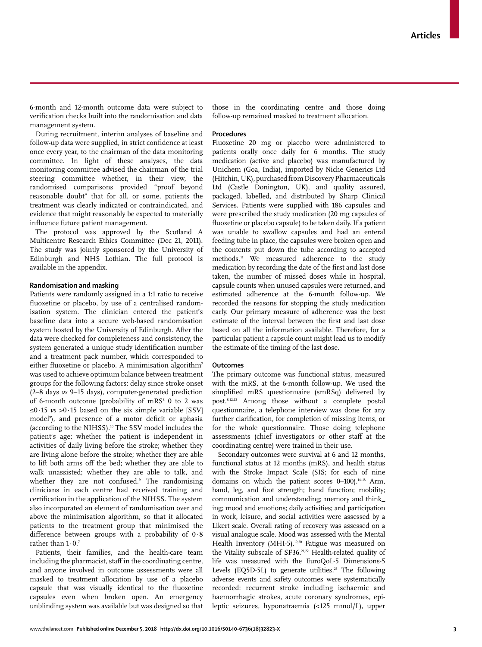6-month and 12-month outcome data were subject to verification checks built into the randomisation and data management system.

During recruitment, interim analyses of baseline and follow-up data were supplied, in strict confidence at least once every year, to the chairman of the data monitoring committee. In light of these analyses, the data monitoring committee advised the chairman of the trial steering committee whether, in their view, the randomised comparisons provided "proof beyond reasonable doubt" that for all, or some, patients the treatment was clearly indicated or contraindicated, and evidence that might reasonably be expected to materially influence future patient management.

The protocol was approved by the Scotland A Multicentre Research Ethics Committee (Dec 21, 2011). The study was jointly sponsored by the University of Edinburgh and NHS Lothian. The full protocol is available in the appendix.

#### **Randomisation and masking**

Patients were randomly assigned in a 1:1 ratio to receive fluoxetine or placebo, by use of a centralised randomisation system. The clinician entered the patient's baseline data into a secure web-based randomisation system hosted by the University of Edinburgh. After the data were checked for completeness and consistency, the system generated a unique study identification number and a treatment pack number, which corresponded to either fluoxetine or placebo. A minimisation algorithm<sup>7</sup> was used to achieve optimum balance between treatment groups for the following factors: delay since stroke onset (2–8 days *vs* 9–15 days), computer-generated prediction of 6-month outcome (probability of  $mRS<sup>s</sup>$  0 to 2 was ≤0∙15 *vs* >0∙15 based on the six simple variable [SSV] model9 ), and presence of a motor deficit or aphasia (according to the NIHSS).10 The SSV model includes the patient's age; whether the patient is independent in activities of daily living before the stroke; whether they are living alone before the stroke; whether they are able to lift both arms off the bed; whether they are able to walk unassisted; whether they are able to talk, and whether they are not confused.<sup>9</sup> The randomising clinicians in each centre had received training and certification in the application of the NIHSS. The system also incorporated an element of randomisation over and above the minimisation algorithm, so that it allocated patients to the treatment group that minimised the difference between groups with a probability of 0∙8 rather than 1∙0.7

Patients, their families, and the health-care team including the pharmacist, staff in the coordinating centre, and anyone involved in outcome assessments were all masked to treatment allocation by use of a placebo capsule that was visually identical to the fluoxetine capsules even when broken open. An emergency unblinding system was available but was designed so that those in the coordinating centre and those doing follow-up remained masked to treatment allocation.

#### **Procedures**

Fluoxetine 20 mg or placebo were administered to patients orally once daily for 6 months. The study medication (active and placebo) was manufactured by Unichem (Goa, India), imported by Niche Generics Ltd (Hitchin, UK), purchased from Discovery Pharmaceuticals Ltd (Castle Donington, UK), and quality assured, packaged, labelled, and distributed by Sharp Clinical Services. Patients were supplied with 186 capsules and were prescribed the study medication (20 mg capsules of fluoxetine or placebo capsule) to be taken daily. If a patient was unable to swallow capsules and had an enteral feeding tube in place, the capsules were broken open and the contents put down the tube according to accepted methods.<sup>11</sup> We measured adherence to the study medication by recording the date of the first and last dose taken, the number of missed doses while in hospital, capsule counts when unused capsules were returned, and estimated adherence at the 6-month follow-up. We recorded the reasons for stopping the study medication early. Our primary measure of adherence was the best estimate of the interval between the first and last dose based on all the information available. Therefore, for a particular patient a capsule count might lead us to modify the estimate of the timing of the last dose.

#### **Outcomes**

The primary outcome was functional status, measured with the mRS, at the 6-month follow-up. We used the simplified mRS questionnaire (smRSq) delivered by post.8,12,13 Among those without a complete postal questionnaire, a telephone interview was done for any further clarification, for completion of missing items, or for the whole questionnaire. Those doing telephone assessments (chief investigators or other staff at the coordinating centre) were trained in their use.

Secondary outcomes were survival at 6 and 12 months, functional status at 12 months (mRS), and health status with the Stroke Impact Scale (SIS; for each of nine domains on which the patient scores  $0-100$ ).<sup>14–18</sup> Arm, hand, leg, and foot strength; hand function; mobility; communication and understanding; memory and think\_ ing; mood and emotions; daily activities; and participation in work, leisure, and social activities were assessed by a Likert scale. Overall rating of recovery was assessed on a visual analogue scale. Mood was assessed with the Mental Health Inventory (MHI-5).<sup>19,20</sup> Fatigue was measured on the Vitality subscale of SF36.21,22 Health-related quality of life was measured with the EuroQoL-5 Dimensions-5 Levels (EQ5D-5L) to generate utilities.<sup>23</sup> The following adverse events and safety outcomes were systematically recorded: recurrent stroke including ischaemic and haemorrhagic strokes, acute coronary syndromes, epileptic seizures, hyponatraemia (<125 mmol/L), upper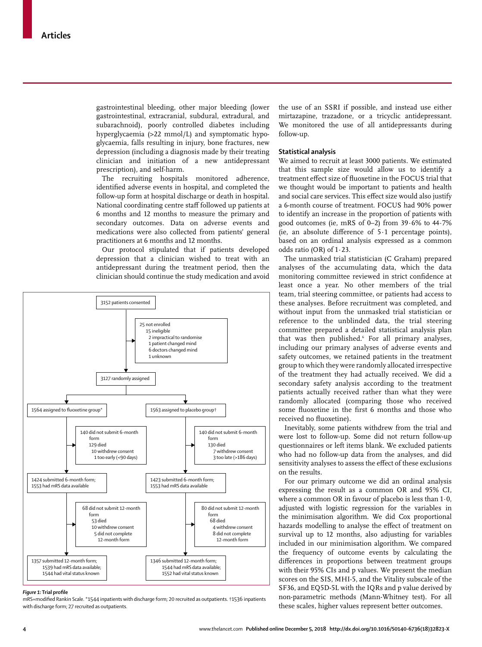gastrointestinal bleeding, other major bleeding (lower gastrointestinal, extracranial, subdural, extradural, and subarachnoid), poorly controlled diabetes including hyperglycaemia (>22 mmol/L) and symptomatic hypoglycaemia, falls resulting in injury, bone fractures, new depression (including a diagnosis made by their treating clinician and initiation of a new antidepressant prescription), and self-harm.

The recruiting hospitals monitored adherence, identified adverse events in hospital, and completed the follow-up form at hospital discharge or death in hospital. National coordinating centre staff followed up patients at 6 months and 12 months to measure the primary and secondary outcomes. Data on adverse events and medications were also collected from patients' general practitioners at 6 months and 12 months.

Our protocol stipulated that if patients developed depression that a clinician wished to treat with an antidepressant during the treatment period, then the clinician should continue the study medication and avoid



#### *Figure 1:* **Trial profile**

mRS=modified Rankin Scale. \*1544 inpatients with discharge form; 20 recruited as outpatients. †1536 inpatients with discharge form; 27 recruited as outpatients.

the use of an SSRI if possible, and instead use either mirtazapine, trazadone, or a tricyclic antidepressant. We monitored the use of all antidepressants during follow-up.

#### **Statistical analysis**

We aimed to recruit at least 3000 patients. We estimated that this sample size would allow us to identify a treatment effect size of fluoxetine in the FOCUS trial that we thought would be important to patients and health and social care services. This effect size would also justify a 6-month course of treatment. FOCUS had 90% power to identify an increase in the proportion of patients with good outcomes (ie, mRS of 0–2) from 39∙6% to 44∙7% (ie, an absolute difference of 5∙1 percentage points), based on an ordinal analysis expressed as a common odds ratio (OR) of 1·23.

The unmasked trial statistician (C Graham) prepared analyses of the accumulating data, which the data monitoring committee reviewed in strict confidence at least once a year. No other members of the trial team, trial steering committee, or patients had access to these analyses. Before recruitment was completed, and without input from the unmasked trial statistician or reference to the unblinded data, the trial steering committee prepared a detailed statistical analysis plan that was then published.6 For all primary analyses, including our primary analyses of adverse events and safety outcomes, we retained patients in the treatment group to which they were randomly allocated irrespective of the treatment they had actually received. We did a secondary safety analysis according to the treatment patients actually received rather than what they were randomly allocated (comparing those who received some fluoxetine in the first 6 months and those who received no fluoxetine).

Inevitably, some patients withdrew from the trial and were lost to follow-up. Some did not return follow-up questionnaires or left items blank. We excluded patients who had no follow-up data from the analyses, and did sensitivity analyses to assess the effect of these exclusions on the results.

For our primary outcome we did an ordinal analysis expressing the result as a common OR and 95% CI, where a common OR in favour of placebo is less than 1·0, adjusted with logistic regression for the variables in the minimisation algorithm. We did Cox proportional hazards modelling to analyse the effect of treatment on survival up to 12 months, also adjusting for variables included in our minimisation algorithm. We compared the frequency of outcome events by calculating the differences in proportions between treatment groups with their 95% CIs and p values. We present the median scores on the SIS, MHI-5, and the Vitality subscale of the SF36, and EQ5D-5L with the IQRs and p value derived by non-parametric methods (Mann-Whitney test). For all these scales, higher values represent better outcomes.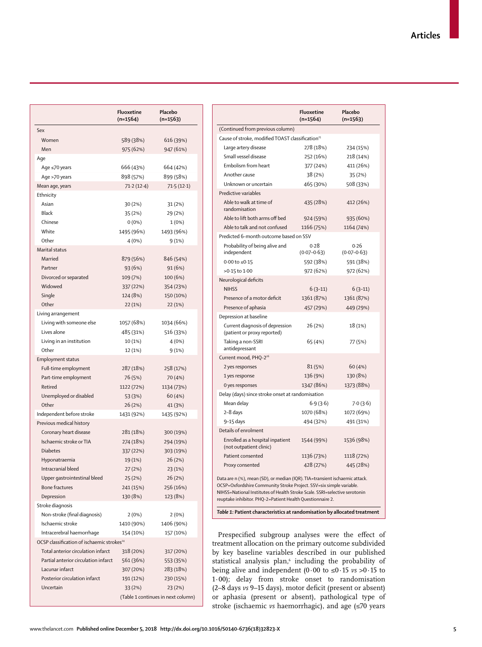|                                                        | <b>Fluoxetine</b><br>$(n=1564)$    | Placebo<br>$(n=1563)$   |  |
|--------------------------------------------------------|------------------------------------|-------------------------|--|
| Sex                                                    |                                    |                         |  |
| Women                                                  | 589 (38%)                          | 616 (39%)               |  |
| Men                                                    | 975 (62%)                          | 947 (61%)               |  |
| Age                                                    |                                    |                         |  |
| Age ≤70 years                                          | 666 (43%)                          | 664 (42%)               |  |
|                                                        |                                    |                         |  |
| Age >70 years                                          | 898 (57%)<br>71.2(12.4)            | 899 (58%)<br>71.5(12.1) |  |
| Mean age, years<br>Ethnicity                           |                                    |                         |  |
| Asian                                                  | 30(2%)                             |                         |  |
| Black                                                  |                                    | 31(2%)                  |  |
|                                                        | 35(2%)                             | 29 (2%)                 |  |
| Chinese                                                | $0(0\%)$                           | 1(0%)                   |  |
| White                                                  | 1495 (96%)                         | 1493 (96%)              |  |
| Other                                                  | 4(0%)                              | 9(1%)                   |  |
| Marital status                                         |                                    |                         |  |
| Married                                                | 879 (56%)                          | 846 (54%)               |  |
| Partner                                                | 93 (6%)                            | 91 (6%)                 |  |
| Divorced or separated                                  | 109 (7%)                           | 100 (6%)                |  |
| Widowed                                                | 337 (22%)                          | 354 (23%)               |  |
| Single                                                 | 124 (8%)                           | 150 (10%)               |  |
| Other                                                  | 22 (1%)                            | 22 (1%)                 |  |
| Living arrangement                                     |                                    |                         |  |
| Living with someone else                               | 1057 (68%)                         | 1034 (66%)              |  |
| Lives alone                                            | 485 (31%)                          | 516 (33%)               |  |
| Living in an institution                               | 10 (1%)                            | 4(0%)                   |  |
| Other                                                  | 12 (1%)                            | 9(1%)                   |  |
| Employment status                                      |                                    |                         |  |
| Full-time employment                                   | 287 (18%)                          | 258 (17%)               |  |
| Part-time employment                                   | 76 (5%)                            | 70 (4%)                 |  |
| Retired                                                | 1122 (72%)                         | 1134 (73%)              |  |
| Unemployed or disabled                                 | 53 (3%)                            | 60 (4%)                 |  |
| Other                                                  | 26(2%)                             | 41 (3%)                 |  |
| Independent before stroke                              | 1431 (92%)                         | 1435 (92%)              |  |
| Previous medical history                               |                                    |                         |  |
| Coronary heart disease                                 | 281 (18%)                          | 300 (19%)               |  |
| Ischaemic stroke or TIA                                | 274 (18%)                          | 294 (19%)               |  |
| <b>Diabetes</b>                                        | 337 (22%)                          | 303 (19%)               |  |
| Hyponatraemia                                          | 19 (1%)                            | 26 (2%)                 |  |
| Intracranial bleed                                     | 27(2%)                             | 23 (1%)                 |  |
| Upper gastrointestinal bleed                           | 25 (2%)                            | 26 (2%)                 |  |
| <b>Bone fractures</b>                                  | 241 (15%)                          | 256 (16%)               |  |
| Depression                                             | 130 (8%)                           | 123 (8%)                |  |
| Stroke diagnosis                                       |                                    |                         |  |
| Non-stroke (final diagnosis)                           | 2(0%)                              | 2(0%)                   |  |
| Ischaemic stroke                                       | 1410 (90%)                         | 1406 (90%)              |  |
| Intracerebral haemorrhage                              | 154 (10%)                          | 157 (10%)               |  |
| OCSP classification of ischaemic strokes <sup>24</sup> |                                    |                         |  |
| Total anterior circulation infarct                     | 318 (20%)                          | 317 (20%)               |  |
| Partial anterior circulation infarct                   | 561 (36%)                          | 553 (35%)               |  |
| Lacunar infarct                                        | 307 (20%)                          | 283 (18%)               |  |
| Posterior circulation infarct                          | 191 (12%)                          | 230 (15%)               |  |
| Uncertain                                              | 33(2%)                             | 23 (2%)                 |  |
|                                                        | (Table 1 continues in next column) |                         |  |

|                                                                                                                                                                                                                                                                                               | Fluoxetine<br>$(n=1564)$ | Placebo<br>$(n=1563)$   |  |  |  |
|-----------------------------------------------------------------------------------------------------------------------------------------------------------------------------------------------------------------------------------------------------------------------------------------------|--------------------------|-------------------------|--|--|--|
| (Continued from previous column)                                                                                                                                                                                                                                                              |                          |                         |  |  |  |
| Cause of stroke, modified TOAST classification <sup>25</sup>                                                                                                                                                                                                                                  |                          |                         |  |  |  |
| Large artery disease                                                                                                                                                                                                                                                                          | 278 (18%)                | 234 (15%)               |  |  |  |
| Small vessel disease                                                                                                                                                                                                                                                                          | 252 (16%)                | 218 (14%)               |  |  |  |
| Embolism from heart                                                                                                                                                                                                                                                                           | 377 (24%)                | 411 (26%)               |  |  |  |
| Another cause                                                                                                                                                                                                                                                                                 | 38 (2%)                  | 35(2%)                  |  |  |  |
| Unknown or uncertain                                                                                                                                                                                                                                                                          | 465 (30%)                | 508 (33%)               |  |  |  |
| Predictive variables                                                                                                                                                                                                                                                                          |                          |                         |  |  |  |
| Able to walk at time of<br>randomisation                                                                                                                                                                                                                                                      | 435 (28%)                | 412 (26%)               |  |  |  |
| Able to lift both arms off bed                                                                                                                                                                                                                                                                | 924 (59%)                | 935 (60%)               |  |  |  |
| Able to talk and not confused                                                                                                                                                                                                                                                                 | 1166 (75%)               | 1164 (74%)              |  |  |  |
| Predicted 6-month outcome based on SSV                                                                                                                                                                                                                                                        |                          |                         |  |  |  |
| Probability of being alive and<br>independent                                                                                                                                                                                                                                                 | 0.28<br>$(0.07 - 0.63)$  | 0.26<br>$(0.07 - 0.63)$ |  |  |  |
| $0.00$ to $\leq 0.15$                                                                                                                                                                                                                                                                         | 592 (38%)                | 591 (38%)               |  |  |  |
| >0.15 to 1.00                                                                                                                                                                                                                                                                                 | 972 (62%)                | 972 (62%)               |  |  |  |
| Neurological deficits                                                                                                                                                                                                                                                                         |                          |                         |  |  |  |
| <b>NIHSS</b>                                                                                                                                                                                                                                                                                  | $6(3-11)$                | $6(3-11)$               |  |  |  |
| Presence of a motor deficit                                                                                                                                                                                                                                                                   | 1361 (87%)               | 1361 (87%)              |  |  |  |
| Presence of aphasia                                                                                                                                                                                                                                                                           | 457 (29%)                | 449 (29%)               |  |  |  |
| Depression at baseline                                                                                                                                                                                                                                                                        |                          |                         |  |  |  |
| Current diagnosis of depression<br>(patient or proxy reported)                                                                                                                                                                                                                                | 26 (2%)                  | 18 (1%)                 |  |  |  |
| Taking a non-SSRI<br>antidepressant                                                                                                                                                                                                                                                           | 65 (4%)                  | 77 (5%)                 |  |  |  |
| Current mood, PHQ-2 <sup>26</sup>                                                                                                                                                                                                                                                             |                          |                         |  |  |  |
| 2 yes responses                                                                                                                                                                                                                                                                               | 81 (5%)                  | 60 (4%)                 |  |  |  |
| 1 yes response                                                                                                                                                                                                                                                                                | 136 (9%)                 | 130 (8%)                |  |  |  |
| 0 yes responses                                                                                                                                                                                                                                                                               | 1347 (86%)               | 1373 (88%)              |  |  |  |
| Delay (days) since stroke onset at randomisation                                                                                                                                                                                                                                              |                          |                         |  |  |  |
| Mean delay                                                                                                                                                                                                                                                                                    | 6.9(3.6)                 | 7.0(3.6)                |  |  |  |
| 2-8 days                                                                                                                                                                                                                                                                                      | 1070 (68%)               | 1072 (69%)              |  |  |  |
| $9-15$ days                                                                                                                                                                                                                                                                                   | 494 (32%)                | 491 (31%)               |  |  |  |
| Details of enrolment                                                                                                                                                                                                                                                                          |                          |                         |  |  |  |
| Enrolled as a hospital inpatient<br>(not outpatient clinic)                                                                                                                                                                                                                                   | 1544 (99%)               | 1536 (98%)              |  |  |  |
| Patient consented                                                                                                                                                                                                                                                                             | 1136 (73%)               | 1118 (72%)              |  |  |  |
| Proxy consented                                                                                                                                                                                                                                                                               | 428 (27%)                | 445 (28%)               |  |  |  |
| Data are n (%), mean (SD), or median (IQR). TIA=transient ischaemic attack.<br>OCSP=Oxfordshire Community Stroke Project. SSV=six simple variable.<br>NIHSS=National Institutes of Health Stroke Scale. SSRI=selective serotonin<br>reuptake inhibitor. PHQ-2=Patient Health Questionnaire 2. |                          |                         |  |  |  |
| Table 1: Patient characteristics at randomisation by allocated treatment                                                                                                                                                                                                                      |                          |                         |  |  |  |
|                                                                                                                                                                                                                                                                                               |                          |                         |  |  |  |

Prespecified subgroup analyses were the effect of treatment allocation on the primary outcome subdivided by key baseline variables described in our published statistical analysis plan,<sup>6</sup> including the probability of being alive and independent (0·00 to ≤0∙15 *vs* >0∙15 to 1·00); delay from stroke onset to randomisation (2–8 days *vs* 9–15 days), motor deficit (present or absent) or aphasia (present or absent), pathological type of stroke (ischaemic *vs* haemorrhagic), and age (≤70 years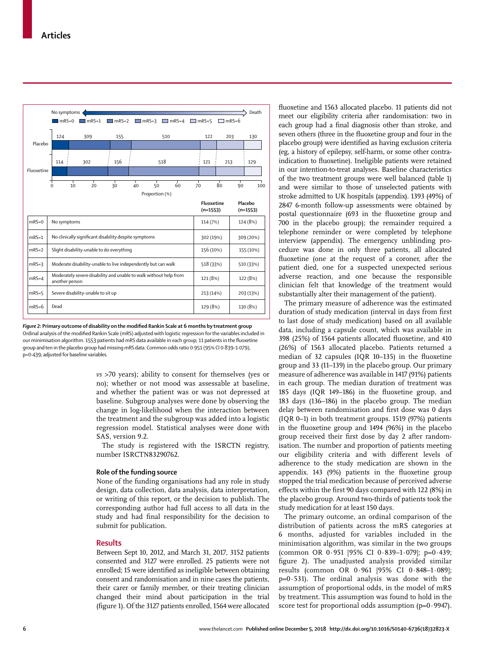

*Figure 2:* **Primary outcome of disability on the modified Rankin Scale at 6 months by treatment group** Ordinal analysis of the modified Rankin Scale (mRS) adjusted with logistic regression for the variables included in our minimisation algorithm. 1553 patients had mRS data available in each group; 11 patients in the fluoxetine group and ten in the placebo group had missing mRS data. Common odds ratio 0∙951 (95% CI 0∙839–1∙079), p=0∙439; adjusted for baseline variables.

> *vs* >70 years); ability to consent for themselves (yes or no); whether or not mood was assessable at baseline, and whether the patient was or was not depressed at baseline. Subgroup analyses were done by observing the change in log-likelihood when the interaction between the treatment and the subgroup was added into a logistic regression model. Statistical analyses were done with SAS, version 9.2.

> The study is registered with the ISRCTN registry, number ISRCTN83290762.

#### **Role of the funding source**

None of the funding organisations had any role in study design, data collection, data analysis, data interpretation, or writing of this report, or the decision to publish. The corresponding author had full access to all data in the study and had final responsibility for the decision to submit for publication.

#### **Results**

Between Sept 10, 2012, and March 31, 2017, 3152 patients consented and 3127 were enrolled. 25 patients were not enrolled; 15 were identified as ineligible between obtaining consent and randomisation and in nine cases the patients, their carer or family member, or their treating clinician changed their mind about participation in the trial (figure 1). Of the 3127 patients enrolled, 1564 were allocated fluoxetine and 1563 allocated placebo. 11 patients did not meet our eligibility criteria after randomisation: two in each group had a final diagnosis other than stroke, and seven others (three in the fluoxetine group and four in the placebo group) were identified as having exclusion criteria (eg, a history of epilepsy, self-harm, or some other contraindication to fluoxetine). Ineligible patients were retained in our intention-to-treat analyses. Baseline characteristics of the two treatment groups were well balanced (table 1) and were similar to those of unselected patients with stroke admitted to UK hospitals (appendix). 1393 (49%) of 2847 6-month follow-up assessments were obtained by postal questionnaire (693 in the fluoxetine group and 700 in the placebo group); the remainder required a telephone reminder or were completed by telephone interview (appendix). The emergency unblinding procedure was done in only three patients, all allocated fluoxetine (one at the request of a coroner, after the patient died, one for a suspected unexpected serious adverse reaction, and one because the responsible clinician felt that knowledge of the treatment would substantially alter their management of the patient).

The primary measure of adherence was the estimated duration of study medication (interval in days from first to last dose of study medication) based on all available data, including a capsule count, which was available in 398 (25%) of 1564 patients allocated fluoxetine, and 410 (26%) of 1563 allocated placebo. Patients returned a median of 32 capsules (IQR 10–135) in the fluoxetine group and 33 (11–139) in the placebo group. Our primary measure of adherence was available in 1417 (91%) patients in each group. The median duration of treatment was 185 days (IQR 149–186) in the fluoxetine group, and 183 days (136–186) in the placebo group. The median delay between randomisation and first dose was 0 days (IQR 0–1) in both treatment groups. 1519 (97%) patients in the fluoxetine group and 1494 (96%) in the placebo group received their first dose by day 2 after randomisation. The number and proportion of patients meeting our eligibility criteria and with different levels of adherence to the study medication are shown in the appendix. 143 (9%) patients in the fluoxetine group stopped the trial medication because of perceived adverse effects within the first 90 days compared with 122 (8%) in the placebo group. Around two-thirds of patients took the study medication for at least 150 days.

The primary outcome, an ordinal comparison of the distribution of patients across the mRS categories at 6 months, adjusted for variables included in the minimisation algorithm, was similar in the two groups (common OR 0∙951 [95% CI 0∙839–1∙079]; p=0∙439; figure 2). The unadjusted analysis provided similar results (common OR 0∙961 [95% CI 0∙848–1∙089]; p=0∙531). The ordinal analysis was done with the assumption of proportional odds, in the model of mRS by treatment. This assumption was found to hold in the score test for proportional odds assumption  $(p=0.9947)$ .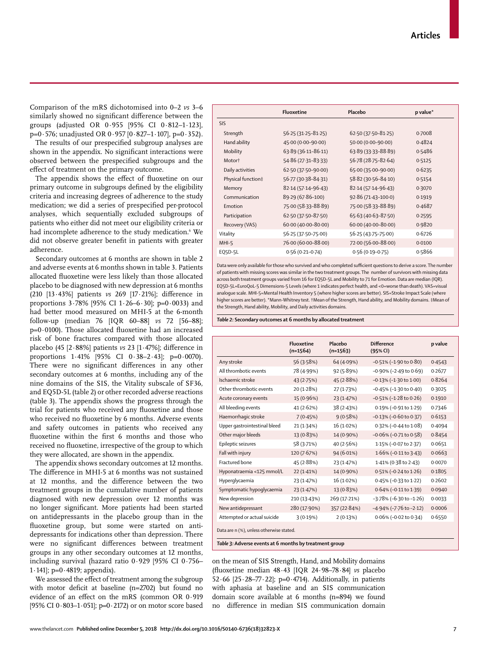Comparison of the mRS dichotomised into 0–2 *vs* 3–6 similarly showed no significant difference between the groups (adjusted OR 0∙955 [95% CI 0∙812–1∙123], p=0∙576; unadjusted OR 0∙957 [0∙827–1∙107], p=0∙352).

SIS

The results of our prespecified subgroup analyses are shown in the appendix. No significant interactions were observed between the prespecified subgroups and the effect of treatment on the primary outcome.

The appendix shows the effect of fluoxetine on our primary outcome in subgroups defined by the eligibility criteria and increasing degrees of adherence to the study medication; we did a series of prespecified per-protocol analyses, which sequentially excluded subgroups of patients who either did not meet our eligibility criteria or had incomplete adherence to the study medication.6 We did not observe greater benefit in patients with greater adherence.

Secondary outcomes at 6 months are shown in table 2 and adverse events at 6 months shown in table 3. Patients allocated fluoxetine were less likely than those allocated placebo to be diagnosed with new depression at 6 months (210 [13∙43%] patients *vs* 269 [17·21%]; difference in proportions 3∙78% [95% CI 1∙26–6∙30]; p=0∙0033) and had better mood measured on MHI-5 at the 6-month follow-up (median 76 [IQR 60–88] *vs* 72 [56–88]; p=0∙0100). Those allocated fluoxetine had an increased risk of bone fractures compared with those allocated placebo (45 [2∙88%] patients *vs* 23 [1∙47%]; difference in proportions 1∙41% [95% CI 0∙38–2∙43]; p=0∙0070). There were no significant differences in any other secondary outcomes at 6 months, including any of the nine domains of the SIS, the Vitality subscale of SF36, and EQ5D-5L (table 2) or other recorded adverse reactions (table 3). The appendix shows the progress through the trial for patients who received any fluoxetine and those who received no fluoxetine by 6 months. Adverse events and safety outcomes in patients who received any fluoxetine within the first 6 months and those who received no fluoxetine, irrespective of the group to which they were allocated, are shown in the appendix.

The appendix shows secondary outcomes at 12 months. The difference in MHI-5 at 6 months was not sustained at 12 months, and the difference between the two treatment groups in the cumulative number of patients diagnosed with new depression over 12 months was no longer significant. More patients had been started on antidepressants in the placebo group than in the fluoxetine group, but some were started on antidepressants for indications other than depression. There were no significant differences between treatment groups in any other secondary outcomes at 12 months, including survival (hazard ratio 0∙929 [95% CI 0∙756– 1∙141]; p=0∙4819; appendix).

We assessed the effect of treatment among the subgroup with motor deficit at baseline (n=2702) but found no evidence of an effect on the mRS (common OR 0∙919 [95% CI 0∙803–1∙051]; p=0∙2172) or on motor score based Data were only available for those who survived and who completed sufficient questions to derive a score. The number of patients with missing scores was similar in the two treatment groups. The number of survivors with missing data across both treatment groups varied from 16 for EQ5D-5L and Mobility to 71 for Emotion. Data are median (IQR). EQ5D-5L=EuroQoL-5 Dimensions-5 Levels (where 1 indicates perfect health, and <0=worse than death). VAS=visual analogue scale. MHI-5=Mental Health Inventory 5 (where higher scores are better). SIS=Stroke Impact Scale (where higher scores are better). \*Mann-Whitney test. †Mean of the Strength, Hand ability, and Mobility domains. ‡Mean of the Strength, Hand ability, Mobility, and Daily activities domains.

**Fluoxetine Placebo p value\***

Strength 56·25 (31·25–81·25) 62·50 (37·50–81·25) 0·7008 Hand ability 45·00 (0·00–90·00) 50·00 (0·00–90·00) 0·4824 Mobility 63·89 (36·11–86·11) 63·89 (33·33–88·89) 0·5486 Motor† 54·86 (27·31–83·33) 56·78 (28·75–82·64) 0·5125 Daily activities 62·50 (37·50–90·00) 65·00 (35·00–90·00) 0·6235 Physical function‡ 56·77 (30·38–84·31) 58·82 (30·56–84·10) 0·5154 Memory 82·14 (57·14–96·43) 82·14 (57·14–96·43) 0·3070 Communication 89·29 (67·86–100) 92·86 (71·43–100·0) 0·1919 Emotion 75·00 (58·33–88·89) 75·00 (58·33–88·89) 0·4687 Participation 62·50 (37·50–87·50) 65·63 (40·63–87·50) 0·2595 Recovery (VAS) 60·00 (40·00–80·00) 60·00 (40·00–80·00) 0·9820 Vitality 56·25 (37·50–75·00) 56·25 (43·75–75·00) 0·6726 MHI-5 76·00 (60·00–88·00) 72·00 (56·00–88·00) 0·0100 EQ5D-5L 0·56 (0·21–0·74) 0·56 (0·19–0·75) 0·5866

*Table 2:* **Secondary outcomes at 6 months by allocated treatment**

|                                          | <b>Fluoxetine</b><br>$(n=1564)$ | Placebo<br>$(n=1563)$ | <b>Difference</b><br>(95% CI)    | p value |  |  |
|------------------------------------------|---------------------------------|-----------------------|----------------------------------|---------|--|--|
| Any stroke                               | 56 (3.58%)                      | 64 (4.09%)            | $-0.51\%$ (-1.90 to 0.80)        | 0.4543  |  |  |
| All thrombotic events                    | 78 (4.99%)                      | 92 (5.89%)            | $-0.90\%$ ( $-2.49$ to $0.69$ )  | 0.2677  |  |  |
| Ischaemic stroke                         | 43 (2.75%)                      | 45 (2.88%)            | $-0.13\%$ ( $-1.30$ to $1.00$ )  | 0.8264  |  |  |
| Other thrombotic events                  | 20 (1.28%)                      | 27 (1.73%)            | $-0.45\%$ ( $-1.30$ to $0.40$ )  | 0.3025  |  |  |
| Acute coronary events                    | 15 (0.96%)                      | 23 (1.47%)            | $-0.51\%$ ( $-1.28$ to 0.26)     | 0.1910  |  |  |
| All bleeding events                      | 41 (2.62%)                      | 38(2.43%)             | 0.19% (-0.91 to 1.29)            | 0.7346  |  |  |
| Haemorrhagic stroke                      | 7(0.45%)                        | 9(0.58%)              | $-0.13\%$ ( $-0.60$ to 0.37)     | 0.6153  |  |  |
| Upper gastrointestinal bleed             | 21 (1.34%)                      | 16(1.02%)             | 0.32% (-0.44 to 1.08)            | 0.4094  |  |  |
| Other major bleeds                       | 13 (0.83%)                      | 14 (0.90%)            | $-0.06\%$ ( $-0.71$ to $0.58$ )  | 0.8454  |  |  |
| Epileptic seizures                       | 58 (3.71%)                      | 40 (2.56%)            | 1.15% (-0.07 to 2.37)            | 0.0651  |  |  |
| Fall with injury                         | 120 (7.67%)                     | 94 (6.01%)            | 1.66% (-0.11 to 3.43)            | 0.0663  |  |  |
| Fractured bone                           | 45 (2.88%)                      | 23 (1.47%)            | 1.41% (0.38 to 2.43)             | 0.0070  |  |  |
| Hyponatraemia <125 mmol/L                | 22 (1.41%)                      | 14 (0.90%)            | $0.51\%$ (-0.24 to 1.26)         | 0.1805  |  |  |
| Hyperglycaemia                           | 23 (1.47%)                      | 16(1.02%)             | 0.45% (-0.33 to 1.22)            | 0.2602  |  |  |
| Symptomatic hypoglycaemia                | 23 (1.47%)                      | 13 (0.83%)            | 0.64% (-0.11 to 1.39)            | 0.0940  |  |  |
| New depression                           | 210 (13.43%)                    | 269 (17.21%)          | $-3.78\%$ ( $-6.30$ to $-1.26$ ) | 0.0033  |  |  |
| New antidepressant                       | 280 (17.90%)                    | 357 (22.84%)          | $-4.94\%$ (-7.76 to -2.12)       | 0.0006  |  |  |
| Attempted or actual suicide              | 3(0.19%)                        | 2(0.13%)              | 0.06% (-0.02 to 0.34)            | 0.6550  |  |  |
| Data are n (%), unless otherwise stated. |                                 |                       |                                  |         |  |  |

*Table 3:* **Adverse events at 6 months by treatment group**

on the mean of SIS Strength, Hand, and Mobility domains (fluoxetine median 48∙43 [IQR 24∙98–78∙84] *vs* placebo 52∙66 [25∙28–77∙22]; p=0∙4714). Additionally, in patients with aphasia at baseline and an SIS communication domain score available at 6 months (n=894) we found no difference in median SIS communication domain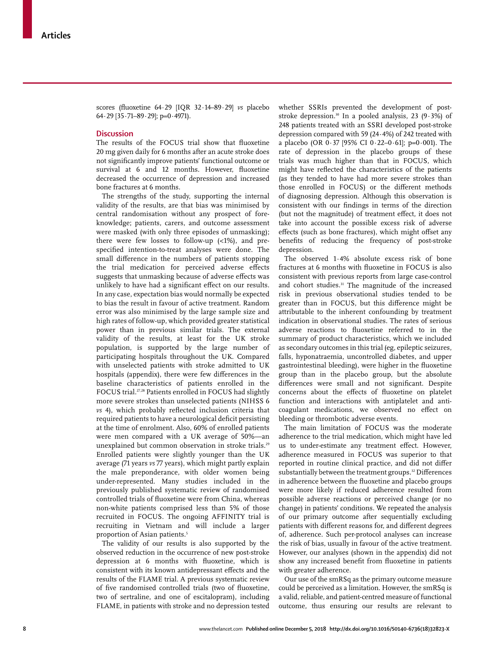scores (fluoxetine 64∙29 [IQR 32∙14–89∙29] *vs* placebo 64∙29 [35∙71–89∙29]; p=0∙4971).

### **Discussion**

The results of the FOCUS trial show that fluoxetine 20 mg given daily for 6 months after an acute stroke does not significantly improve patients' functional outcome or survival at 6 and 12 months. However, fluoxetine decreased the occurrence of depression and increased bone fractures at 6 months.

The strengths of the study, supporting the internal validity of the results, are that bias was minimised by central randomisation without any prospect of foreknowledge; patients, carers, and outcome assessment were masked (with only three episodes of unmasking); there were few losses to follow-up (<1%), and prespecified intention-to-treat analyses were done. The small difference in the numbers of patients stopping the trial medication for perceived adverse effects suggests that unmasking because of adverse effects was unlikely to have had a significant effect on our results. In any case, expectation bias would normally be expected to bias the result in favour of active treatment. Random error was also minimised by the large sample size and high rates of follow-up, which provided greater statistical power than in previous similar trials. The external validity of the results, at least for the UK stroke population, is supported by the large number of participating hospitals throughout the UK. Compared with unselected patients with stroke admitted to UK hospitals (appendix), there were few differences in the baseline characteristics of patients enrolled in the FOCUS trial.<sup>27,28</sup> Patients enrolled in FOCUS had slightly more severe strokes than unselected patients (NIHSS 6 *vs* 4), which probably reflected inclusion criteria that required patients to have a neurological deficit persisting at the time of enrolment. Also, 60% of enrolled patients were men compared with a UK average of 50%—an unexplained but common observation in stroke trials.<sup>29</sup> Enrolled patients were slightly younger than the UK average (71 years *vs* 77 years), which might partly explain the male preponderance, with older women being under-represented. Many studies included in the previously published systematic review of randomised controlled trials of fluoxetine were from China, whereas non-white patients comprised less than 5% of those recruited in FOCUS. The ongoing AFFINITY trial is recruiting in Vietnam and will include a larger proportion of Asian patients.<sup>5</sup>

The validity of our results is also supported by the observed reduction in the occurrence of new post-stroke depression at 6 months with fluoxetine, which is consistent with its known antidepressant effects and the results of the FLAME trial. A previous systematic review of five randomised controlled trials (two of fluoxetine, two of sertraline, and one of escitalopram), including FLAME, in patients with stroke and no depression tested whether SSRIs prevented the development of poststroke depression.<sup>30</sup> In a pooled analysis, 23  $(9.3\%)$  of 248 patients treated with an SSRI developed post-stroke depression compared with 59 (24·4%) of 242 treated with a placebo (OR 0∙37 [95% CI 0∙22–0∙61]; p=0∙001). The rate of depression in the placebo groups of these trials was much higher than that in FOCUS, which might have reflected the characteristics of the patients (as they tended to have had more severe strokes than those enrolled in FOCUS) or the different methods of diagnosing depression. Although this observation is consistent with our findings in terms of the direction (but not the magnitude) of treatment effect, it does not take into account the possible excess risk of adverse effects (such as bone fractures), which might offset any benefits of reducing the frequency of post-stroke depression.

The observed 1∙4% absolute excess risk of bone fractures at 6 months with fluoxetine in FOCUS is also consistent with previous reports from large case-control and cohort studies.<sup>31</sup> The magnitude of the increased risk in previous observational studies tended to be greater than in FOCUS, but this difference might be attributable to the inherent confounding by treatment indication in observational studies. The rates of serious adverse reactions to fluoxetine referred to in the summary of product characteristics, which we included as secondary outcomes in this trial (eg, epileptic seizures, falls, hyponatraemia, uncontrolled diabetes, and upper gastrointestinal bleeding), were higher in the fluoxetine group than in the placebo group, but the absolute differences were small and not significant. Despite concerns about the effects of fluoxetine on platelet function and interactions with antiplatelet and anticoagulant medications, we observed no effect on bleeding or thrombotic adverse events.

The main limitation of FOCUS was the moderate adherence to the trial medication, which might have led us to under-estimate any treatment effect. However, adherence measured in FOCUS was superior to that reported in routine clinical practice, and did not differ substantially between the treatment groups.<sup>32</sup> Differences in adherence between the fluoxetine and placebo groups were more likely if reduced adherence resulted from possible adverse reactions or perceived change (or no change) in patients' conditions. We repeated the analysis of our primary outcome after sequentially excluding patients with different reasons for, and different degrees of, adherence. Such per-protocol analyses can increase the risk of bias, usually in favour of the active treatment. However, our analyses (shown in the appendix) did not show any increased benefit from fluoxetine in patients with greater adherence.

Our use of the smRSq as the primary outcome measure could be perceived as a limitation. However, the smRSq is a valid, reliable, and patient-centred measure of functional outcome, thus ensuring our results are relevant to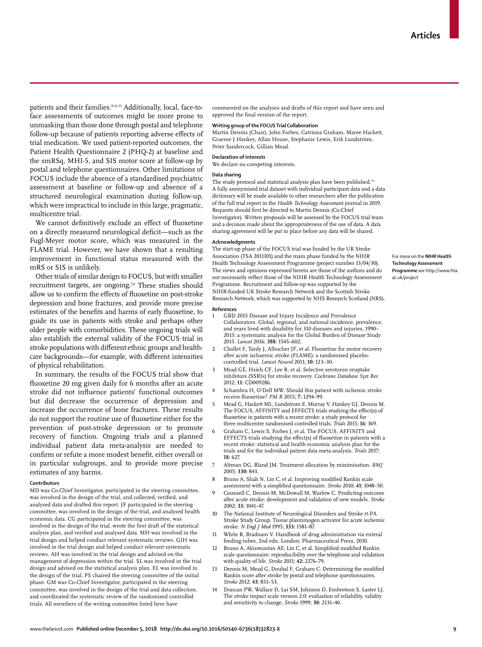patients and their families.<sup>8,12,13</sup> Additionally, local, face-toface assessments of outcomes might be more prone to unmasking than those done through postal and telephone follow-up because of patients reporting adverse effects of trial medication. We used patient-reported outcomes, the Patient Health Questionnaire 2 (PHQ-2) at baseline and the smRSq, MHI-5, and SIS motor score at follow-up by postal and telephone questionnaires. Other limitations of FOCUS include the absence of a standardised psychiatric assessment at baseline or follow-up and absence of a structured neurological examination during follow-up, which were impractical to include in this large, pragmatic, multicentre trial.

We cannot definitively exclude an effect of fluoxetine on a directly measured neurological deficit—such as the Fugl-Meyer motor score, which was measured in the FLAME trial. However, we have shown that a resulting improvement in functional status measured with the mRS or SIS is unlikely.

Other trials of similar design to FOCUS, but with smaller recruitment targets, are ongoing.<sup>5,6</sup> These studies should allow us to confirm the effects of fluoxetine on post-stroke depression and bone fractures, and provide more precise estimates of the benefits and harms of early fluoxetine, to guide its use in patients with stroke and perhaps other older people with comorbidities. These ongoing trials will also establish the external validity of the FOCUS trial in stroke populations with different ethnic groups and healthcare backgrounds—for example, with different intensities of physical rehabilitation.

In summary, the results of the FOCUS trial show that fluoxetine 20 mg given daily for 6 months after an acute stroke did not influence patients' functional outcomes but did decrease the occurrence of depression and increase the occurrence of bone fractures. These results do not support the routine use of fluoxetine either for the prevention of post-stroke depression or to promote recovery of function. Ongoing trials and a planned individual patient data meta-analysis are needed to confirm or refute a more modest benefit, either overall or in particular subgroups, and to provide more precise estimates of any harms.

#### **Contributors**

MD was Co-Chief Investigator, participated in the steering committee, was involved in the design of the trial, and collected, verified, and analysed data and drafted this report. JF participated in the steering committee, was involved in the design of the trial, and analysed health economic data. CG participated in the steering committee, was involved in the design of the trial, wrote the first draft of the statistical analysis plan, and verified and analysed data. MH was involved in the trial design and helped conduct relevant systematic reviews. GJH was involved in the trial design and helped conduct relevant systematic reviews. AH was involved in the trial design and advised on the management of depression within the trial. SL was involved in the trial design and advised on the statistical analysis plan. EL was involved in the design of the trial. PS chaired the steering committee of the initial phase. GM was Co-Chief Investigator, participated in the steering committee, was involved in the design of the trial and data collection, and coordinated the systematic review of the randomised controlled trials. All members of the writing committee listed here have

commented on the analyses and drafts of this report and have seen and approved the final version of the report.

#### **Writing group of the FOCUS Trial Collaboration**

Martin Dennis (Chair), John Forbes, Catriona Graham, Maree Hackett, Graeme J Hankey, Allan House, Stephanie Lewis, Erik Lundström, Peter Sandercock, Gillian Mead.

#### **Declaration of interests**

We declare no competing interests.

#### **Data sharing**

The study protocol and statistical analysis plan have been published.<sup>5,6</sup> A fully anonymised trial dataset with individual participant data and a data dictionary will be made available to other researchers after the publication of the full trial report in the *Health Technology Assessment* journal in 2019. Requests should first be directed to Martin Dennis (Co-Chief Investigator). Written proposals will be assessed by the FOCUS trial team and a decision made about the appropriateness of the use of data. A data sharing agreement will be put in place before any data will be shared.

#### **Acknowledgments**

The start-up phase of the FOCUS trial was funded by the UK Stroke Association (TSA 2011101) and the main phase funded by the [NIHR](http://www.hta.ac.uk/project)  [Health Technology Assessment Programme](http://www.hta.ac.uk/project) (project number 13/04/30). The views and opinions expressed herein are those of the authors and do not necessarily reflect those of the NIHR Health Technology Assessment Programme. Recruitment and follow-up was supported by the NIHR-funded UK Stroke Research Network and the Scottish Stroke Research Network, which was supported by NHS Research Scotland (NRS).

#### **References**

- 1 GBD 2015 Disease and Injury Incidence and Prevalence Collaborators. Global, regional, and national incidence, prevalence, and years lived with disability for 310 diseases and injuries, 1990– 2015: a systematic analysis for the Global Burden of Disease Study 2015. *Lancet* 2016; **388:** 1545–602.
- 2 Chollet F, Tardy J, Albucher JF, et al. Fluoxetine for motor recovery after acute ischaemic stroke (FLAME): a randomised placebocontrolled trial. *Lancet Neurol* 2011; **10:** 123–30.
- 3 Mead GE, Hsieh CF, Lee R, et al. Selective serotonin reuptake inhibitors (SSRIs) for stroke recovery. *Cochrane Database Syst Rev* 2012; **11:** CD009286.
- Schambra H, O'Dell MW. Should this patient with ischemic stroke receive fluoxetine? *PM R* 2015; **7:** 1294–99.
- 5 Mead G, Hackett ML, Lundstrom E, Murray V, Hankey GJ, Dennis M. The FOCUS, AFFINITY and EFFECTS trials studying the effect(s) of fluoxetine in patients with a recent stroke: a study protocol for three multicentre randomised controlled trials. *Trials* 2015; **16:** 369.
- 6 Graham C, Lewis S, Forbes J, et al. The FOCUS, AFFINITY and EFFECTS trials studying the effect(s) of fluoxetine in patients with a recent stroke: statistical and health economic analysis plan for the trials and for the individual patient data meta-analysis. *Trials* 2017; **18:** 627.
- 7 Altman DG, Bland JM. Treatment allocation by minimisation. *BMJ* 2005; **330:** 843.
- 8 Bruno A, Shah N, Lin C, et al. Improving modified Rankin scale assessment with a simplified questionnaire. *Stroke* 2010; **41:** 1048–50.
- 9 Counsell C, Dennis M, McDowall M, Warlow C. Predicting outcome after acute stroke: development and validation of new models. *Stroke* 2002; **33:** 1041–47.
- 10 The National Institute of Neurological Disorders and Stroke rt-PA Stroke Study Group. Tissue plasminogen activator for acute ischemic stroke. *N Engl J Med* 1995; **333:** 1581–87.
- 11 White R, Bradnam V. Handbook of drug administration via enteral feeding tubes, 2nd edn. London: Pharmaceutical Press, 2010.
- 12 Bruno A, Akinwuntan AE, Lin C, et al. Simplified modified Rankin scale questionnaire: reproducibility over the telephone and validation with quality of life. *Stroke* 2011; **42:** 2276–79.
- 13 Dennis M, Mead G, Doubal F, Graham C. Determining the modified Rankin score after stroke by postal and telephone questionnaires. *Stroke* 2012; **43:** 851–53.
- 14 Duncan PW, Wallace D, Lai SM, Johnson D, Embretson S, Laster LJ. The stroke impact scale version 2.0: evaluation of reliability, validity and sensitivity to change. *Stroke* 1999; **30:** 2131–40.

www.thelancet.com **Published online December 5, 2018 http://dx.doi.org/10.1016/S0140-6736(18)32823-X 9**

For more on the **NIHR Health Technology Assessment Programme** see [http://www.hta.](http://www.hta.ac.uk/project) [ac.uk/project](http://www.hta.ac.uk/project)